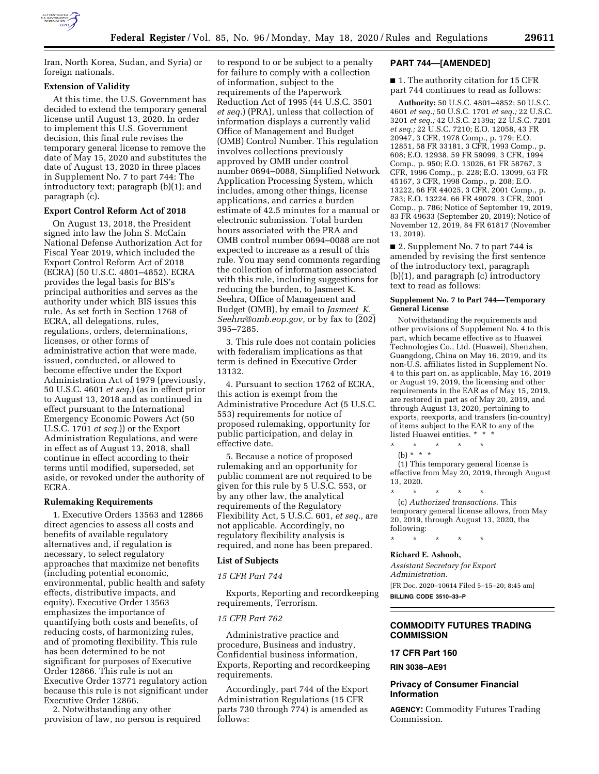

Iran, North Korea, Sudan, and Syria) or foreign nationals.

#### **Extension of Validity**

At this time, the U.S. Government has decided to extend the temporary general license until August 13, 2020. In order to implement this U.S. Government decision, this final rule revises the temporary general license to remove the date of May 15, 2020 and substitutes the date of August 13, 2020 in three places in Supplement No. 7 to part 744: The introductory text; paragraph (b)(1); and paragraph (c).

#### **Export Control Reform Act of 2018**

On August 13, 2018, the President signed into law the John S. McCain National Defense Authorization Act for Fiscal Year 2019, which included the Export Control Reform Act of 2018 (ECRA) (50 U.S.C. 4801–4852). ECRA provides the legal basis for BIS's principal authorities and serves as the authority under which BIS issues this rule. As set forth in Section 1768 of ECRA, all delegations, rules, regulations, orders, determinations, licenses, or other forms of administrative action that were made, issued, conducted, or allowed to become effective under the Export Administration Act of 1979 (previously, 50 U.S.C. 4601 *et seq.*) (as in effect prior to August 13, 2018 and as continued in effect pursuant to the International Emergency Economic Powers Act (50 U.S.C. 1701 *et seq.*)) or the Export Administration Regulations, and were in effect as of August 13, 2018, shall continue in effect according to their terms until modified, superseded, set aside, or revoked under the authority of ECRA.

#### **Rulemaking Requirements**

1. Executive Orders 13563 and 12866 direct agencies to assess all costs and benefits of available regulatory alternatives and, if regulation is necessary, to select regulatory approaches that maximize net benefits (including potential economic, environmental, public health and safety effects, distributive impacts, and equity). Executive Order 13563 emphasizes the importance of quantifying both costs and benefits, of reducing costs, of harmonizing rules, and of promoting flexibility. This rule has been determined to be not significant for purposes of Executive Order 12866. This rule is not an Executive Order 13771 regulatory action because this rule is not significant under Executive Order 12866.

2. Notwithstanding any other provision of law, no person is required

to respond to or be subject to a penalty for failure to comply with a collection of information, subject to the requirements of the Paperwork Reduction Act of 1995 (44 U.S.C. 3501 *et seq.*) (PRA), unless that collection of information displays a currently valid Office of Management and Budget (OMB) Control Number. This regulation involves collections previously approved by OMB under control number 0694–0088, Simplified Network Application Processing System, which includes, among other things, license applications, and carries a burden estimate of 42.5 minutes for a manual or electronic submission. Total burden hours associated with the PRA and OMB control number 0694–0088 are not expected to increase as a result of this rule. You may send comments regarding the collection of information associated with this rule, including suggestions for reducing the burden, to Jasmeet K. Seehra, Office of Management and Budget (OMB), by email to *[Jasmeet](mailto:Jasmeet_K._Seehra@omb.eop.gov)*\_*K.*\_ *[Seehra@omb.eop.gov,](mailto:Jasmeet_K._Seehra@omb.eop.gov)* or by fax to (202) 395–7285.

3. This rule does not contain policies with federalism implications as that term is defined in Executive Order 13132.

4. Pursuant to section 1762 of ECRA, this action is exempt from the Administrative Procedure Act (5 U.S.C. 553) requirements for notice of proposed rulemaking, opportunity for public participation, and delay in effective date.

5. Because a notice of proposed rulemaking and an opportunity for public comment are not required to be given for this rule by 5 U.S.C. 553, or by any other law, the analytical requirements of the Regulatory Flexibility Act, 5 U.S.C. 601, *et seq.,* are not applicable. Accordingly, no regulatory flexibility analysis is required, and none has been prepared.

#### **List of Subjects**

# *15 CFR Part 744*

Exports, Reporting and recordkeeping requirements, Terrorism.

## *15 CFR Part 762*

Administrative practice and procedure, Business and industry, Confidential business information, Exports, Reporting and recordkeeping requirements.

Accordingly, part 744 of the Export Administration Regulations (15 CFR parts 730 through 774) is amended as follows:

# **PART 744—[AMENDED]**

■ 1. The authority citation for 15 CFR part 744 continues to read as follows:

**Authority:** 50 U.S.C. 4801–4852; 50 U.S.C. 4601 *et seq.;* 50 U.S.C. 1701 *et seq.;* 22 U.S.C. 3201 *et seq.;* 42 U.S.C. 2139a; 22 U.S.C. 7201 *et seq.;* 22 U.S.C. 7210; E.O. 12058, 43 FR 20947, 3 CFR, 1978 Comp., p. 179; E.O. 12851, 58 FR 33181, 3 CFR, 1993 Comp., p. 608; E.O. 12938, 59 FR 59099, 3 CFR, 1994 Comp., p. 950; E.O. 13026, 61 FR 58767, 3 CFR, 1996 Comp., p. 228; E.O. 13099, 63 FR 45167, 3 CFR, 1998 Comp., p. 208; E.O. 13222, 66 FR 44025, 3 CFR, 2001 Comp., p. 783; E.O. 13224, 66 FR 49079, 3 CFR, 2001 Comp., p. 786; Notice of September 19, 2019, 83 FR 49633 (September 20, 2019); Notice of November 12, 2019, 84 FR 61817 (November 13, 2019).

■ 2. Supplement No. 7 to part 744 is amended by revising the first sentence of the introductory text, paragraph (b)(1), and paragraph (c) introductory text to read as follows:

### **Supplement No. 7 to Part 744—Temporary General License**

Notwithstanding the requirements and other provisions of Supplement No. 4 to this part, which became effective as to Huawei Technologies Co., Ltd. (Huawei), Shenzhen, Guangdong, China on May 16, 2019, and its non-U.S. affiliates listed in Supplement No. 4 to this part on, as applicable, May 16, 2019 or August 19, 2019, the licensing and other requirements in the EAR as of May 15, 2019, are restored in part as of May 20, 2019, and through August 13, 2020, pertaining to exports, reexports, and transfers (in-country) of items subject to the EAR to any of the listed Huawei entities. \* \* \*

\* \* \* \* \*

(b) \* \* \* (1) This temporary general license is effective from May 20, 2019, through August 13, 2020.

\* \* \* \* \* (c) *Authorized transactions.* This temporary general license allows, from May 20, 2019, through August 13, 2020, the following:

\* \* \* \* \*

### **Richard E. Ashooh,**

*Assistant Secretary for Export Administration.*  [FR Doc. 2020–10614 Filed 5–15–20; 8:45 am] **BILLING CODE 3510–33–P** 

### **COMMODITY FUTURES TRADING COMMISSION**

# **17 CFR Part 160**

#### **RIN 3038–AE91**

# **Privacy of Consumer Financial Information**

**AGENCY:** Commodity Futures Trading Commission.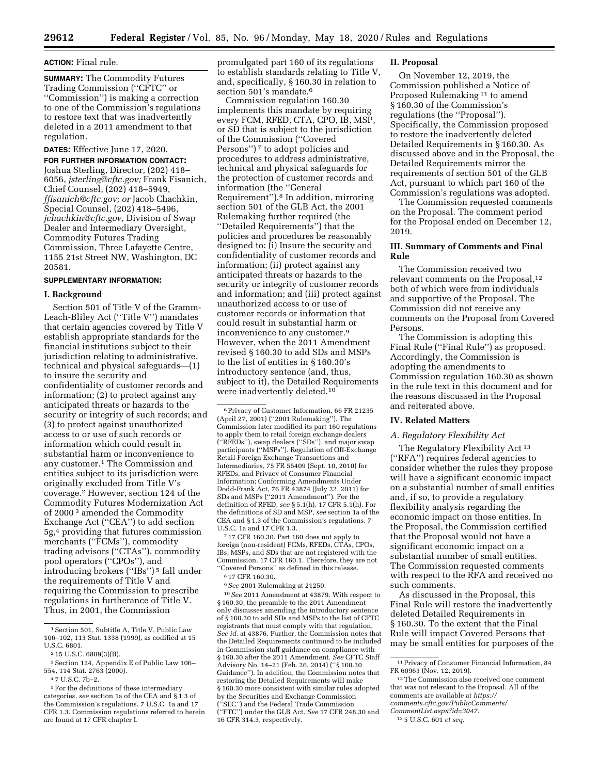#### **ACTION:** Final rule.

**SUMMARY:** The Commodity Futures Trading Commission (''CFTC'' or ''Commission'') is making a correction to one of the Commission's regulations to restore text that was inadvertently deleted in a 2011 amendment to that regulation.

# **DATES:** Effective June 17, 2020.

**FOR FURTHER INFORMATION CONTACT:**  Joshua Sterling, Director, (202) 418– 6056, *[jsterling@cftc.gov;](mailto:jsterling@cftc.gov)* Frank Fisanich, Chief Counsel, (202) 418–5949, *[ffisanich@cftc.gov;](mailto:ffisanich@cftc.gov) or* Jacob Chachkin, Special Counsel, (202) 418–5496, *[jchachkin@cftc.gov,](mailto:jchachkin@cftc.gov)* Division of Swap Dealer and Intermediary Oversight, Commodity Futures Trading Commission, Three Lafayette Centre, 1155 21st Street NW, Washington, DC 20581.

## **SUPPLEMENTARY INFORMATION:**

#### **I. Background**

Section 501 of Title V of the Gramm-Leach-Bliley Act (''Title V'') mandates that certain agencies covered by Title V establish appropriate standards for the financial institutions subject to their jurisdiction relating to administrative, technical and physical safeguards—(1) to insure the security and confidentiality of customer records and information; (2) to protect against any anticipated threats or hazards to the security or integrity of such records; and (3) to protect against unauthorized access to or use of such records or information which could result in substantial harm or inconvenience to any customer.1 The Commission and entities subject to its jurisdiction were originally excluded from Title V's coverage.2 However, section 124 of the Commodity Futures Modernization Act of 2000 3 amended the Commodity Exchange Act (''CEA'') to add section 5g,4 providing that futures commission merchants (''FCMs''), commodity trading advisors (''CTAs''), commodity pool operators (''CPOs''), and introducing brokers (''IBs'') 5 fall under the requirements of Title V and requiring the Commission to prescribe regulations in furtherance of Title V. Thus, in 2001, the Commission

promulgated part 160 of its regulations to establish standards relating to Title V, and, specifically, § 160.30 in relation to section 501's mandate.6

Commission regulation 160.30 implements this mandate by requiring every FCM, RFED, CTA, CPO, IB, MSP, or SD that is subject to the jurisdiction of the Commission (''Covered Persons")<sup>7</sup> to adopt policies and procedures to address administrative, technical and physical safeguards for the protection of customer records and information (the ''General Requirement'').8 In addition, mirroring section 501 of the GLB Act, the 2001 Rulemaking further required (the ''Detailed Requirements'') that the policies and procedures be reasonably designed to: (i) Insure the security and confidentiality of customer records and information; (ii) protect against any anticipated threats or hazards to the security or integrity of customer records and information; and (iii) protect against unauthorized access to or use of customer records or information that could result in substantial harm or inconvenience to any customer.9 However, when the 2011 Amendment revised § 160.30 to add SDs and MSPs to the list of entities in § 160.30's introductory sentence (and, thus, subject to it), the Detailed Requirements were inadvertently deleted.10

7 17 CFR 160.30. Part 160 does not apply to foreign (non-resident) FCMs, RFEDs, CTAs, CPOs, IBs, MSPs, and SDs that are not registered with the Commission. 17 CFR 160.1. Therefore, they are not ''Covered Persons'' as defined in this release.

8 17 CFR 160.30.

9*See* 2001 Rulemaking at 21250.

10*See* 2011 Amendment at 43879. With respect to § 160.30, the preamble to the 2011 Amendment only discusses amending the introductory sentence of § 160.30 to add SDs and MSPs to the list of CFTC registrants that must comply with that regulation. *See id.* at 43876. Further, the Commission notes that the Detailed Requirements continued to be included in Commission staff guidance on compliance with § 160.30 after the 2011 Amendment. *See* CFTC Staff Advisory No. 14–21 (Feb. 26, 2014) (''§ 160.30 Guidance''). In addition, the Commission notes that restoring the Detailed Requirements will make § 160.30 more consistent with similar rules adopted by the Securities and Exchange Commission (''SEC'') and the Federal Trade Commission (''FTC'') under the GLB Act. *See* 17 CFR 248.30 and 16 CFR 314.3, respectively.

#### **II. Proposal**

On November 12, 2019, the Commission published a Notice of Proposed Rulemaking 11 to amend § 160.30 of the Commission's regulations (the ''Proposal''). Specifically, the Commission proposed to restore the inadvertently deleted Detailed Requirements in § 160.30. As discussed above and in the Proposal, the Detailed Requirements mirror the requirements of section 501 of the GLB Act, pursuant to which part 160 of the Commission's regulations was adopted.

The Commission requested comments on the Proposal. The comment period for the Proposal ended on December 12, 2019.

# **III. Summary of Comments and Final Rule**

The Commission received two relevant comments on the Proposal,<sup>12</sup> both of which were from individuals and supportive of the Proposal. The Commission did not receive any comments on the Proposal from Covered Persons.

The Commission is adopting this Final Rule (''Final Rule'') as proposed. Accordingly, the Commission is adopting the amendments to Commission regulation 160.30 as shown in the rule text in this document and for the reasons discussed in the Proposal and reiterated above.

# **IV. Related Matters**

### *A. Regulatory Flexibility Act*

The Regulatory Flexibility Act 13 (''RFA'') requires federal agencies to consider whether the rules they propose will have a significant economic impact on a substantial number of small entities and, if so, to provide a regulatory flexibility analysis regarding the economic impact on those entities. In the Proposal, the Commission certified that the Proposal would not have a significant economic impact on a substantial number of small entities. The Commission requested comments with respect to the RFA and received no such comments.

As discussed in the Proposal, this Final Rule will restore the inadvertently deleted Detailed Requirements in § 160.30. To the extent that the Final Rule will impact Covered Persons that may be small entities for purposes of the

<sup>&</sup>lt;sup>1</sup> Section 501, Subtitle A, Title V, Public Law 106–102, 113 Stat. 1338 (1999), as codified at 15 U.S.C. 6801.

<sup>2</sup> 15 U.S.C. 6809(3)(B).

<sup>3</sup>Section 124, Appendix E of Public Law 106– 554, 114 Stat. 2763 (2000).

<sup>4</sup> 7 U.S.C. 7b–2.

<sup>5</sup>For the definitions of these intermediary categories, *see* section 1a of the CEA and § 1.3 of the Commission's regulations. 7 U.S.C. 1a and 17 CFR 1.3. Commission regulations referred to herein are found at 17 CFR chapter I.

<sup>6</sup>Privacy of Customer Information, 66 FR 21235 (April 27, 2001) (''2001 Rulemaking''). The Commission later modified its part 160 regulations to apply them to retail foreign exchange dealers (''RFEDs''), swap dealers (''SDs''), and major swap participants (''MSPs''). Regulation of Off-Exchange Retail Foreign Exchange Transactions and Intermediaries, 75 FR 55409 (Sept. 10, 2010) for RFEDs, and Privacy of Consumer Financial Information; Conforming Amendments Under Dodd-Frank Act, 76 FR 43874 (July 22, 2011) for SDs and MSPs (''2011 Amendment''). For the definition of RFED, *see* § 5.1(h). 17 CFR 5.1(h). For the definitions of SD and MSP, *see* section 1a of the CEA and § 1.3 of the Commission's regulations. 7 U.S.C. 1a and 17 CFR 1.3.

<sup>11</sup>Privacy of Consumer Financial Information, 84 FR 60963 (Nov. 12, 2019).

<sup>12</sup>The Commission also received one comment that was not relevant to the Proposal. All of the comments are available at *[https://](https://comments.cftc.gov/PublicComments/CommentList.aspx?id=3047)  [comments.cftc.gov/PublicComments/](https://comments.cftc.gov/PublicComments/CommentList.aspx?id=3047)  [CommentList.aspx?id=3047.](https://comments.cftc.gov/PublicComments/CommentList.aspx?id=3047)* 

<sup>13</sup> 5 U.S.C. 601 *et seq.*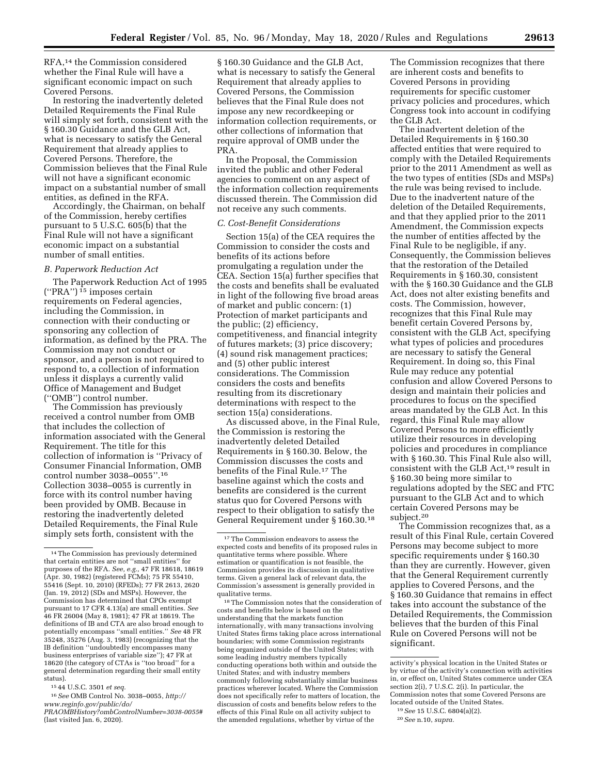RFA,14 the Commission considered whether the Final Rule will have a significant economic impact on such Covered Persons.

In restoring the inadvertently deleted Detailed Requirements the Final Rule will simply set forth, consistent with the § 160.30 Guidance and the GLB Act, what is necessary to satisfy the General Requirement that already applies to Covered Persons. Therefore, the Commission believes that the Final Rule will not have a significant economic impact on a substantial number of small entities, as defined in the RFA.

Accordingly, the Chairman, on behalf of the Commission, hereby certifies pursuant to 5 U.S.C. 605(b) that the Final Rule will not have a significant economic impact on a substantial number of small entities.

## *B. Paperwork Reduction Act*

The Paperwork Reduction Act of 1995 (''PRA'') 15 imposes certain requirements on Federal agencies, including the Commission, in connection with their conducting or sponsoring any collection of information, as defined by the PRA. The Commission may not conduct or sponsor, and a person is not required to respond to, a collection of information unless it displays a currently valid Office of Management and Budget (''OMB'') control number.

The Commission has previously received a control number from OMB that includes the collection of information associated with the General Requirement. The title for this collection of information is ''Privacy of Consumer Financial Information, OMB control number 3038–0055''.16 Collection 3038–0055 is currently in force with its control number having been provided by OMB. Because in restoring the inadvertently deleted Detailed Requirements, the Final Rule simply sets forth, consistent with the

15 44 U.S.C. 3501 *et seq.* 

16*See* OMB Control No. 3038–0055, *[http://](http://www.reginfo.gov/public/do/PRAOMBHistory?ombControlNumber=3038-0055#)  [www.reginfo.gov/public/do/](http://www.reginfo.gov/public/do/PRAOMBHistory?ombControlNumber=3038-0055#)* 

*[PRAOMBHistory?ombControlNumber=3038-0055#](http://www.reginfo.gov/public/do/PRAOMBHistory?ombControlNumber=3038-0055#)*  (last visited Jan. 6, 2020).

§ 160.30 Guidance and the GLB Act, what is necessary to satisfy the General Requirement that already applies to Covered Persons, the Commission believes that the Final Rule does not impose any new recordkeeping or information collection requirements, or other collections of information that require approval of OMB under the PRA.

In the Proposal, the Commission invited the public and other Federal agencies to comment on any aspect of the information collection requirements discussed therein. The Commission did not receive any such comments.

#### *C. Cost-Benefit Considerations*

Section 15(a) of the CEA requires the Commission to consider the costs and benefits of its actions before promulgating a regulation under the CEA. Section 15(a) further specifies that the costs and benefits shall be evaluated in light of the following five broad areas of market and public concern: (1) Protection of market participants and the public; (2) efficiency, competitiveness, and financial integrity of futures markets; (3) price discovery; (4) sound risk management practices; and (5) other public interest considerations. The Commission considers the costs and benefits resulting from its discretionary determinations with respect to the section 15(a) considerations.

As discussed above, in the Final Rule, the Commission is restoring the inadvertently deleted Detailed Requirements in § 160.30. Below, the Commission discusses the costs and benefits of the Final Rule.17 The baseline against which the costs and benefits are considered is the current status quo for Covered Persons with respect to their obligation to satisfy the General Requirement under § 160.30.18

18The Commission notes that the consideration of costs and benefits below is based on the understanding that the markets function internationally, with many transactions involving United States firms taking place across international boundaries; with some Commission registrants being organized outside of the United States; with some leading industry members typically conducting operations both within and outside the United States; and with industry members commonly following substantially similar business practices wherever located. Where the Commission does not specifically refer to matters of location, the discussion of costs and benefits below refers to the effects of this Final Rule on all activity subject to the amended regulations, whether by virtue of the

The Commission recognizes that there are inherent costs and benefits to Covered Persons in providing requirements for specific customer privacy policies and procedures, which Congress took into account in codifying the GLB Act.

The inadvertent deletion of the Detailed Requirements in § 160.30 affected entities that were required to comply with the Detailed Requirements prior to the 2011 Amendment as well as the two types of entities (SDs and MSPs) the rule was being revised to include. Due to the inadvertent nature of the deletion of the Detailed Requirements, and that they applied prior to the 2011 Amendment, the Commission expects the number of entities affected by the Final Rule to be negligible, if any. Consequently, the Commission believes that the restoration of the Detailed Requirements in § 160.30, consistent with the § 160.30 Guidance and the GLB Act, does not alter existing benefits and costs. The Commission, however, recognizes that this Final Rule may benefit certain Covered Persons by, consistent with the GLB Act, specifying what types of policies and procedures are necessary to satisfy the General Requirement. In doing so, this Final Rule may reduce any potential confusion and allow Covered Persons to design and maintain their policies and procedures to focus on the specified areas mandated by the GLB Act. In this regard, this Final Rule may allow Covered Persons to more efficiently utilize their resources in developing policies and procedures in compliance with § 160.30. This Final Rule also will, consistent with the GLB Act,19 result in § 160.30 being more similar to regulations adopted by the SEC and FTC pursuant to the GLB Act and to which certain Covered Persons may be subject.20

The Commission recognizes that, as a result of this Final Rule, certain Covered Persons may become subject to more specific requirements under § 160.30 than they are currently. However, given that the General Requirement currently applies to Covered Persons, and the § 160.30 Guidance that remains in effect takes into account the substance of the Detailed Requirements, the Commission believes that the burden of this Final Rule on Covered Persons will not be significant.

<sup>14</sup>The Commission has previously determined that certain entities are not ''small entities'' for purposes of the RFA. *See, e.g.,* 47 FR 18618, 18619 (Apr. 30, 1982) (registered FCMs); 75 FR 55410, 55416 (Sept. 10, 2010) (RFEDs); 77 FR 2613, 2620 (Jan. 19, 2012) (SDs and MSPs). However, the Commission has determined that CPOs exempt pursuant to 17 CFR 4.13(a) are small entities. *See*  46 FR 26004 (May 8, 1981); 47 FR at 18619. The definitions of IB and CTA are also broad enough to potentially encompass ''small entities.'' *See* 48 FR 35248, 35276 (Aug. 3, 1983) (recognizing that the IB definition ''undoubtedly encompasses many business enterprises of variable size''); 47 FR at 18620 (the category of CTAs is ''too broad'' for a general determination regarding their small entity status).

<sup>17</sup>The Commission endeavors to assess the expected costs and benefits of its proposed rules in quantitative terms where possible. Where estimation or quantification is not feasible, the Commission provides its discussion in qualitative terms. Given a general lack of relevant data, the Commission's assessment is generally provided in qualitative terms.

activity's physical location in the United States or by virtue of the activity's connection with activities in, or effect on, United States commerce under CEA section 2(i), 7 U.S.C. 2(i). In particular, the Commission notes that some Covered Persons are located outside of the United States.

<sup>19</sup>*See* 15 U.S.C. 6804(a)(2).

<sup>20</sup>*See* n.10, *supra.*